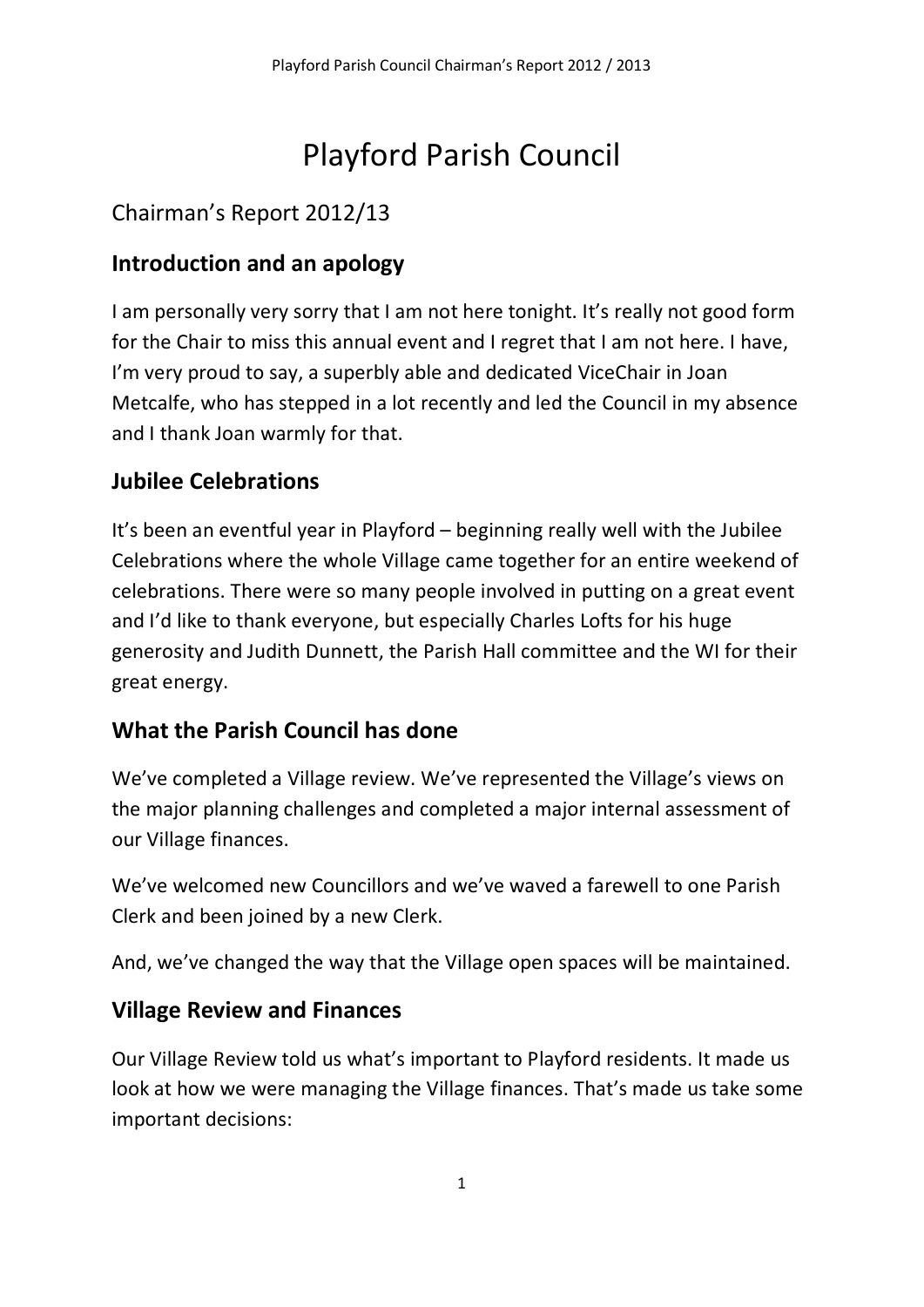# Playford Parish Council

# Chairman's Report 2012/13

## Introduction and an apology

I am personally very sorry that I am not here tonight. It's really not good form for the Chair to miss this annual event and I regret that I am not here. I have, I'm very proud to say, a superbly able and dedicated ViceChair in Joan Metcalfe, who has stepped in a lot recently and led the Council in my absence and I thank Joan warmly for that.

## Jubilee Celebrations

It's been an eventful year in Playford – beginning really well with the Jubilee Celebrations where the whole Village came together for an entire weekend of celebrations. There were so many people involved in putting on a great event and I'd like to thank everyone, but especially Charles Lofts for his huge generosity and Judith Dunnett, the Parish Hall committee and the WI for their great energy.

## What the Parish Council has done

We've completed a Village review. We've represented the Village's views on the major planning challenges and completed a major internal assessment of our Village finances.

We've welcomed new Councillors and we've waved a farewell to one Parish Clerk and been joined by a new Clerk.

And, we've changed the way that the Village open spaces will be maintained.

#### Village Review and Finances

Our Village Review told us what's important to Playford residents. It made us look at how we were managing the Village finances. That's made us take some important decisions: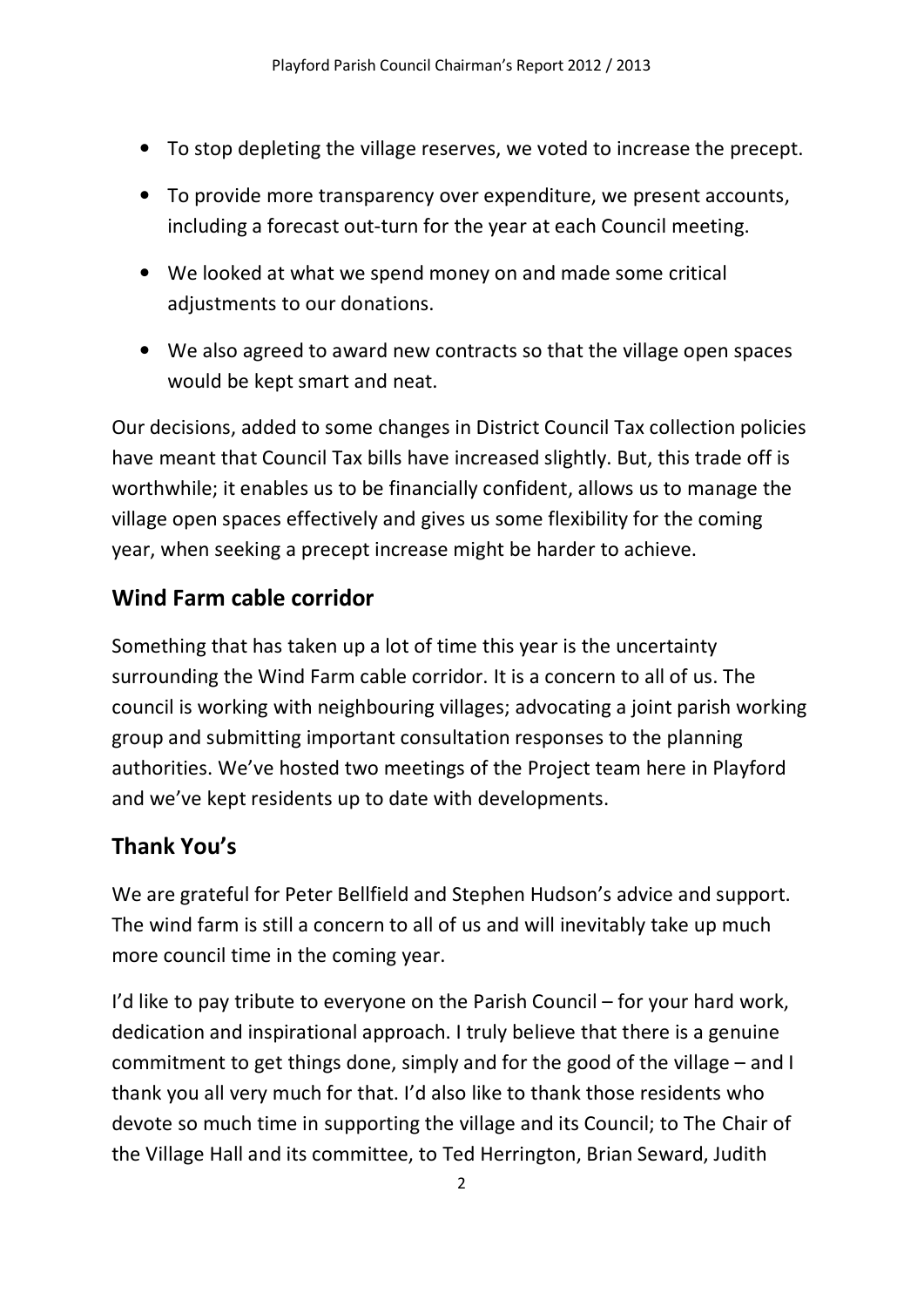- To stop depleting the village reserves, we voted to increase the precept.
- To provide more transparency over expenditure, we present accounts, including a forecast out-turn for the year at each Council meeting.
- We looked at what we spend money on and made some critical adjustments to our donations.
- We also agreed to award new contracts so that the village open spaces would be kept smart and neat.

Our decisions, added to some changes in District Council Tax collection policies have meant that Council Tax bills have increased slightly. But, this trade off is worthwhile; it enables us to be financially confident, allows us to manage the village open spaces effectively and gives us some flexibility for the coming year, when seeking a precept increase might be harder to achieve.

#### Wind Farm cable corridor

Something that has taken up a lot of time this year is the uncertainty surrounding the Wind Farm cable corridor. It is a concern to all of us. The council is working with neighbouring villages; advocating a joint parish working group and submitting important consultation responses to the planning authorities. We've hosted two meetings of the Project team here in Playford and we've kept residents up to date with developments.

#### Thank You's

We are grateful for Peter Bellfield and Stephen Hudson's advice and support. The wind farm is still a concern to all of us and will inevitably take up much more council time in the coming year.

I'd like to pay tribute to everyone on the Parish Council – for your hard work, dedication and inspirational approach. I truly believe that there is a genuine commitment to get things done, simply and for the good of the village – and I thank you all very much for that. I'd also like to thank those residents who devote so much time in supporting the village and its Council; to The Chair of the Village Hall and its committee, to Ted Herrington, Brian Seward, Judith